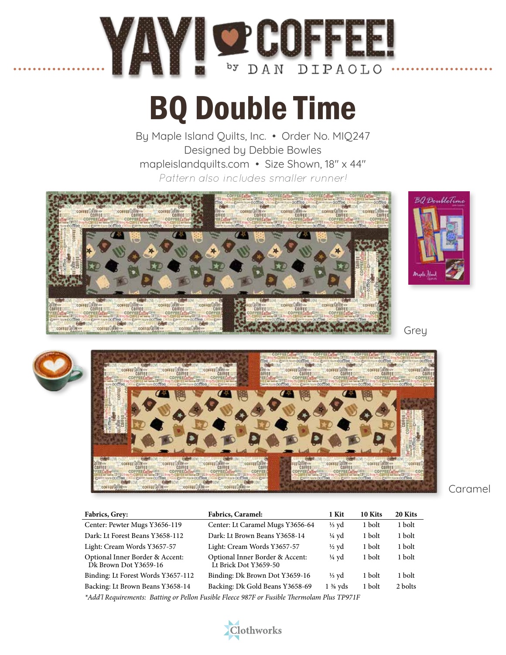

## BQ Double Time

By Maple Island Quilts, Inc. • Order No. MIQ247 Designed by Debbie Bowles mapleislandquilts.com • Size Shown, 18" x 44" *Pattern also includes smaller runner!*





| <b>Fabrics, Grey:</b>                                                                       | <b>Fabrics, Caramel:</b>                                 | 1 Kit              | 10 Kits | 20 Kits |
|---------------------------------------------------------------------------------------------|----------------------------------------------------------|--------------------|---------|---------|
| Center: Pewter Mugs Y3656-119                                                               | Center: Lt Caramel Mugs Y3656-64                         | $\frac{1}{3}$ yd   | 1 bolt  | 1 bolt  |
| Dark: Lt Forest Beans Y3658-112                                                             | Dark: Lt Brown Beans Y3658-14                            | ¼ yd               | 1 bolt  | 1 bolt  |
| Light: Cream Words Y3657-57                                                                 | Light: Cream Words Y3657-57                              | $\frac{1}{2}$ yd   | 1 bolt  | 1 bolt  |
| Optional Inner Border & Accent:<br>Dk Brown Dot Y3659-16                                    | Optional Inner Border & Accent:<br>Lt Brick Dot Y3659-50 | $\frac{1}{4}$ yd   | 1 bolt  | 1 bolt  |
| Binding: Lt Forest Words Y3657-112                                                          | Binding: Dk Brown Dot Y3659-16                           | $\frac{1}{3}$ yd   | 1 bolt  | 1 bolt  |
| Backing: Lt Brown Beans Y3658-14                                                            | Backing: Dk Gold Beans Y3658-69                          | $1\frac{3}{8}$ vds | 1 bolt  | 2 bolts |
| *Add'l Requirements: Batting or Pellon Fusible Fleece 987F or Fusible Thermolam Plus TP971F |                                                          |                    |         |         |

Clothworks

Caramel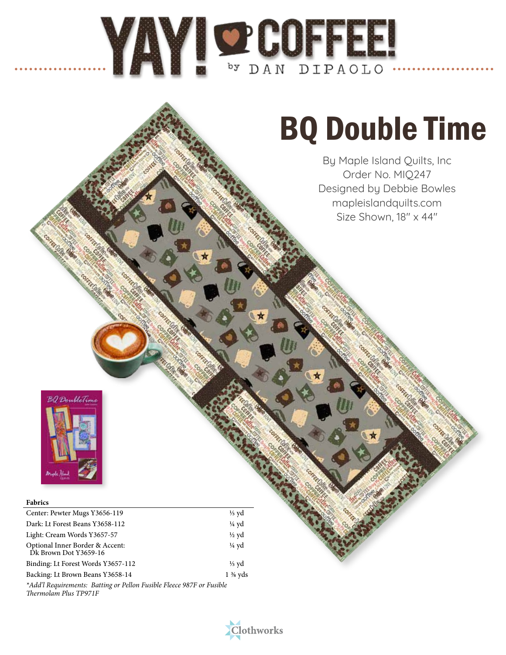# MAYI O COFFEE!

## BQ Double Time

By Maple Island Quilts, Inc Order No. MIQ247 Designed by Debbie Bowles mapleislandquilts.com Size Shown, 18" x 44"



### **Fabrics**

| Center: Pewter Mugs Y3656-119                            | $\frac{1}{3}$ yd   |
|----------------------------------------------------------|--------------------|
| Dark: Lt Forest Beans Y3658-112                          | $\frac{1}{4}$ yd   |
| Light: Cream Words Y3657-57                              | $\frac{1}{2}$ yd   |
| Optional Inner Border & Accent:<br>Dk Brown Dot Y3659-16 | $\frac{1}{4}$ yd   |
| Binding: Lt Forest Words Y3657-112                       | $\frac{1}{3}$ yd   |
| Backing: Lt Brown Beans Y3658-14                         | $1\frac{3}{8}$ yds |

*\*Add'l Requirements: Batting or Pellon Fusible Fleece 987F or Fusible Thermolam Plus TP971F*